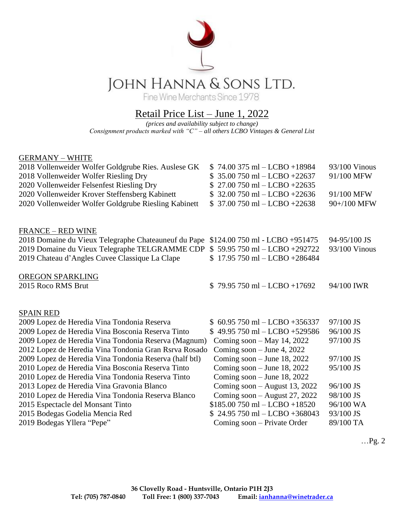

## Retail Price List – June 1, 2022

*(prices and availability subject to change) Consignment products marked with "C" – all others LCBO Vintages & General List*

## GERMANY – WHITE

| 2018 Vollenweider Wolfer Goldgrube Ries. Auslese GK<br>2018 Vollenweider Wolfer Riesling Dry | $$74.00375$ ml - LCBO +18984<br>$35.00$ 750 ml – LCBO +22637 | 93/100 Vinous<br>91/100 MFW |
|----------------------------------------------------------------------------------------------|--------------------------------------------------------------|-----------------------------|
| 2020 Vollenweider Felsenfest Riesling Dry                                                    | $$27.00750$ ml - LCBO +22635                                 |                             |
| 2020 Vollenweider Krover Steffensberg Kabinett                                               | $$32.00750$ ml $-$ LCBO +22636                               | 91/100 MFW                  |
| 2020 Vollenweider Wolfer Goldgrube Riesling Kabinett                                         | $$37.00750$ ml $-$ LCBO $+22638$                             | 90+/100 MFW                 |
| <b>FRANCE - RED WINE</b>                                                                     |                                                              |                             |
| 2018 Domaine du Vieux Telegraphe Chateauneuf du Pape                                         | \$124.00 750 ml - LCBO +951475                               | 94-95/100 JS                |
| 2019 Domaine du Vieux Telegraphe TELGRAMME CDP \$59.95 750 ml - LCBO +292722                 |                                                              | 93/100 Vinous               |
| 2019 Chateau d'Angles Cuvee Classique La Clape                                               | $$17.95750$ ml - LCBO +286484                                |                             |
| OREGON SPARKLING                                                                             |                                                              |                             |
| 2015 Roco RMS Brut                                                                           | $$79.95750$ ml $-$ LCBO +17692                               | 94/100 IWR                  |
|                                                                                              |                                                              |                             |
| <b>SPAIN RED</b>                                                                             |                                                              |                             |
| 2009 Lopez de Heredia Vina Tondonia Reserva                                                  | $$60.95750$ ml $-$ LCBO +356337                              | 97/100 JS                   |
| 2009 Lopez de Heredia Vina Bosconia Reserva Tinto                                            | $$49.95750$ ml - LCBO +529586                                | 96/100 JS                   |
| 2009 Lopez de Heredia Vina Tondonia Reserva (Magnum)                                         | Coming soon $-$ May 14, 2022                                 | 97/100 JS                   |
| 2012 Lopez de Heredia Vina Tondonia Gran Rsrva Rosado                                        | Coming soon $-$ June 4, 2022                                 |                             |
| 2009 Lopez de Heredia Vina Tondonia Reserva (half btl)                                       | Coming soon $-$ June 18, 2022                                | 97/100 JS                   |
| 2010 Lopez de Heredia Vina Bosconia Reserva Tinto                                            | Coming soon $-$ June 18, 2022                                | 95/100 JS                   |
| 2010 Lopez de Heredia Vina Tondonia Reserva Tinto                                            | Coming soon $-$ June 18, 2022                                |                             |
| 2013 Lopez de Heredia Vina Gravonia Blanco                                                   | Coming soon $-$ August 13, 2022                              | 96/100 JS                   |
| 2010 Lopez de Heredia Vina Tondonia Reserva Blanco                                           | Coming soon – August 27, 2022                                | 98/100 JS                   |
| 2015 Espectacle del Monsant Tinto                                                            | $$185.00750$ ml $-$ LCBO +18520                              | 96/100 WA                   |
| 2015 Bodegas Godelia Mencia Red                                                              | $$24.95750$ ml - LCBO +368043                                | 93/100 JS                   |
| 2019 Bodegas Yllera "Pepe"                                                                   | Coming soon – Private Order                                  | 89/100 TA                   |

…Pg. 2